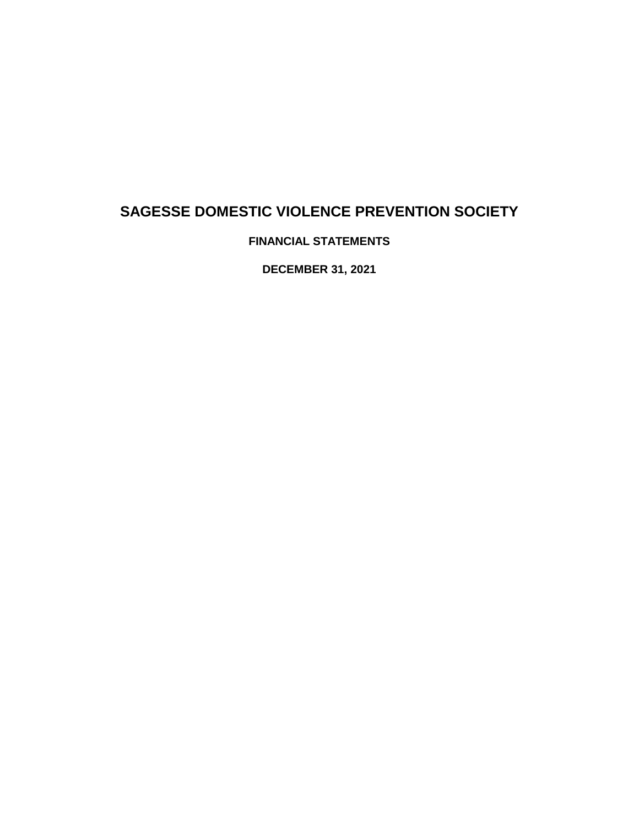# **SAGESSE DOMESTIC VIOLENCE PREVENTION SOCIETY**

**FINANCIAL STATEMENTS**

**DECEMBER 31, 2021**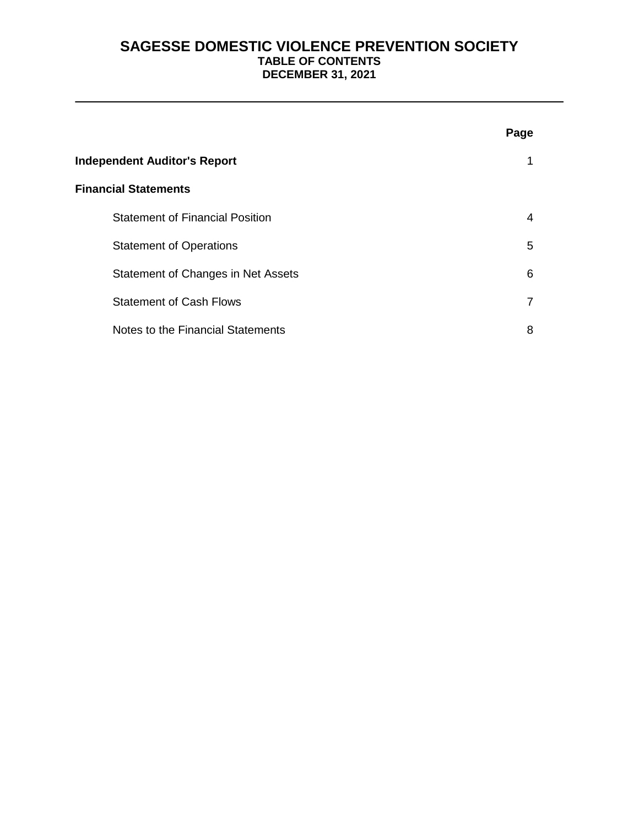## **SAGESSE DOMESTIC VIOLENCE PREVENTION SOCIETY TABLE OF CONTENTS DECEMBER 31, 2021**

|                                        | Page |
|----------------------------------------|------|
| <b>Independent Auditor's Report</b>    | 1    |
| <b>Financial Statements</b>            |      |
| <b>Statement of Financial Position</b> | 4    |
| <b>Statement of Operations</b>         | 5    |
| Statement of Changes in Net Assets     | 6    |
| <b>Statement of Cash Flows</b>         | 7    |
| Notes to the Financial Statements      | 8    |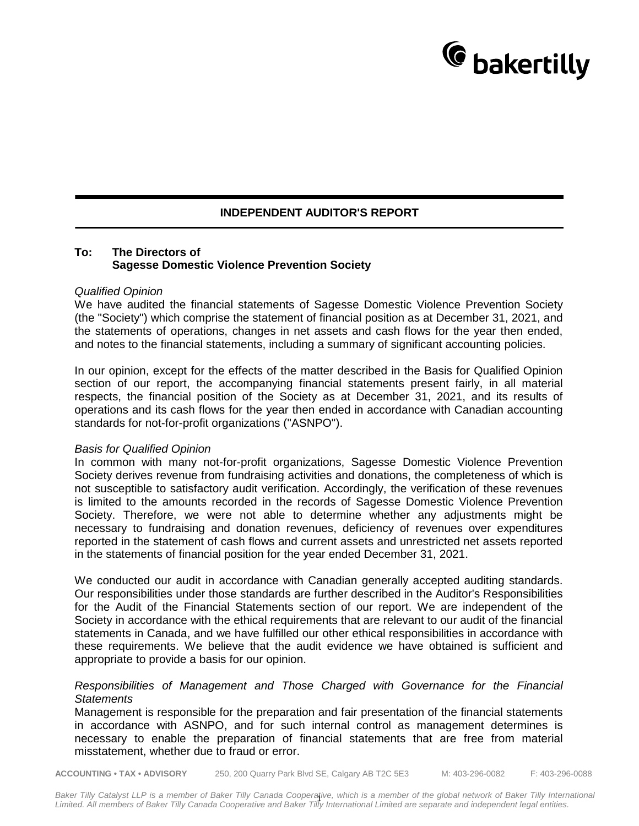

## **INDEPENDENT AUDITOR'S REPORT**

### **To: The Directors of Sagesse Domestic Violence Prevention Society**

#### *Qualified Opinion*

We have audited the financial statements of Sagesse Domestic Violence Prevention Society (the "Society") which comprise the statement of financial position as at December 31, 2021, and the statements of operations, changes in net assets and cash flows for the year then ended, and notes to the financial statements, including a summary of significant accounting policies.

In our opinion, except for the effects of the matter described in the Basis for Qualified Opinion section of our report, the accompanying financial statements present fairly, in all material respects, the financial position of the Society as at December 31, 2021, and its results of operations and its cash flows for the year then ended in accordance with Canadian accounting standards for not-for-profit organizations ("ASNPO").

#### *Basis for Qualified Opinion*

In common with many not-for-profit organizations, Sagesse Domestic Violence Prevention Society derives revenue from fundraising activities and donations, the completeness of which is not susceptible to satisfactory audit verification. Accordingly, the verification of these revenues is limited to the amounts recorded in the records of Sagesse Domestic Violence Prevention Society. Therefore, we were not able to determine whether any adjustments might be necessary to fundraising and donation revenues, deficiency of revenues over expenditures reported in the statement of cash flows and current assets and unrestricted net assets reported in the statements of financial position for the year ended December 31, 2021.

We conducted our audit in accordance with Canadian generally accepted auditing standards. Our responsibilities under those standards are further described in the Auditor's Responsibilities for the Audit of the Financial Statements section of our report. We are independent of the Society in accordance with the ethical requirements that are relevant to our audit of the financial statements in Canada, and we have fulfilled our other ethical responsibilities in accordance with these requirements. We believe that the audit evidence we have obtained is sufficient and appropriate to provide a basis for our opinion.

### *Responsibilities of Management and Those Charged with Governance for the Financial Statements*

Management is responsible for the preparation and fair presentation of the financial statements in accordance with ASNPO, and for such internal control as management determines is necessary to enable the preparation of financial statements that are free from material misstatement, whether due to fraud or error.

**ACCOUNTING • TAX • ADVISORY** 250, 200 Quarry Park Blvd SE, Calgary AB T2C 5E3 M: 403-296-0082 F: 403-296-0088

Baker Tilly Catalyst LLP is a member of Baker Tilly Canada Cooperative, which is a member of the global network of Baker Tilly International **Canada Cooperational** and the global network of Baker Tilly International *Limited. All members of Baker Tilly Canada Cooperative and Baker Tilly International Limited are separate and independent legal entities.*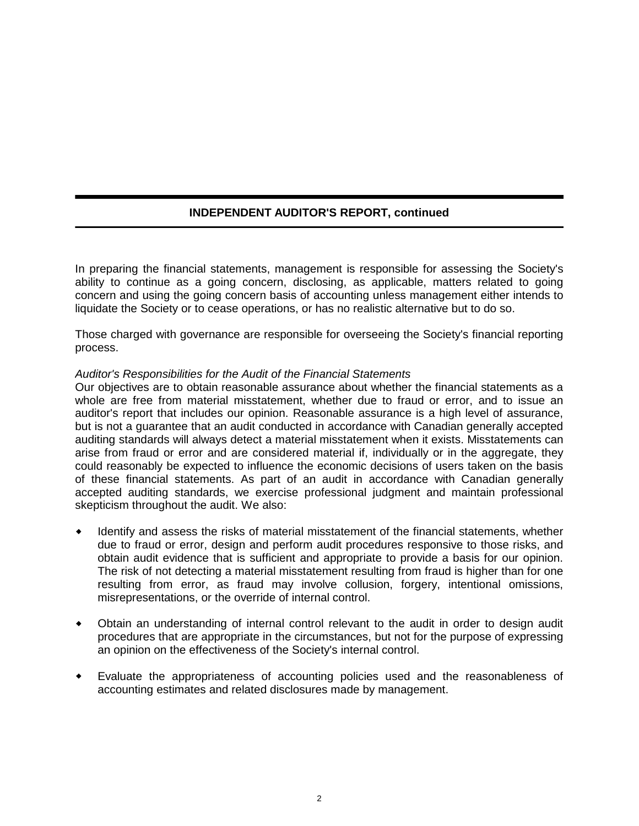## **INDEPENDENT AUDITOR'S REPORT, continued**

In preparing the financial statements, management is responsible for assessing the Society's ability to continue as a going concern, disclosing, as applicable, matters related to going concern and using the going concern basis of accounting unless management either intends to liquidate the Society or to cease operations, or has no realistic alternative but to do so.

Those charged with governance are responsible for overseeing the Society's financial reporting process.

#### *Auditor's Responsibilities for the Audit of the Financial Statements*

Our objectives are to obtain reasonable assurance about whether the financial statements as a whole are free from material misstatement, whether due to fraud or error, and to issue an auditor's report that includes our opinion. Reasonable assurance is a high level of assurance, but is not a guarantee that an audit conducted in accordance with Canadian generally accepted auditing standards will always detect a material misstatement when it exists. Misstatements can arise from fraud or error and are considered material if, individually or in the aggregate, they could reasonably be expected to influence the economic decisions of users taken on the basis of these financial statements. As part of an audit in accordance with Canadian generally accepted auditing standards, we exercise professional judgment and maintain professional skepticism throughout the audit. We also:

- Identify and assess the risks of material misstatement of the financial statements, whether due to fraud or error, design and perform audit procedures responsive to those risks, and obtain audit evidence that is sufficient and appropriate to provide a basis for our opinion. The risk of not detecting a material misstatement resulting from fraud is higher than for one resulting from error, as fraud may involve collusion, forgery, intentional omissions, misrepresentations, or the override of internal control.
- Obtain an understanding of internal control relevant to the audit in order to design audit  $\bullet$ procedures that are appropriate in the circumstances, but not for the purpose of expressing an opinion on the effectiveness of the Society's internal control.
- Evaluate the appropriateness of accounting policies used and the reasonableness of accounting estimates and related disclosures made by management.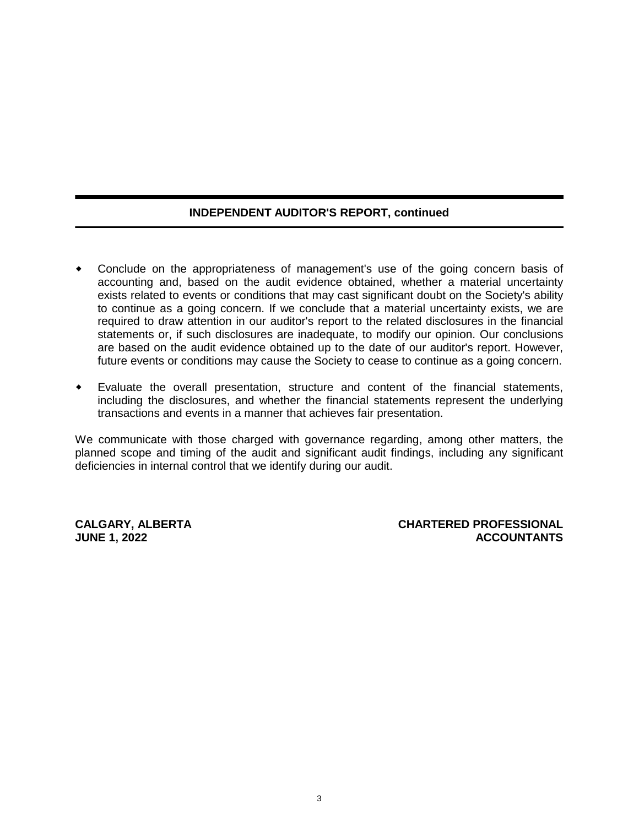## **INDEPENDENT AUDITOR'S REPORT, continued**

- Conclude on the appropriateness of management's use of the going concern basis of accounting and, based on the audit evidence obtained, whether a material uncertainty exists related to events or conditions that may cast significant doubt on the Society's ability to continue as a going concern. If we conclude that a material uncertainty exists, we are required to draw attention in our auditor's report to the related disclosures in the financial statements or, if such disclosures are inadequate, to modify our opinion. Our conclusions are based on the audit evidence obtained up to the date of our auditor's report. However, future events or conditions may cause the Society to cease to continue as a going concern.
- Evaluate the overall presentation, structure and content of the financial statements,  $\bullet$ including the disclosures, and whether the financial statements represent the underlying transactions and events in a manner that achieves fair presentation.

We communicate with those charged with governance regarding, among other matters, the planned scope and timing of the audit and significant audit findings, including any significant deficiencies in internal control that we identify during our audit.

**CALGARY, ALBERTA JUNE 1, 2022**

**CHARTERED PROFESSIONAL ACCOUNTANTS**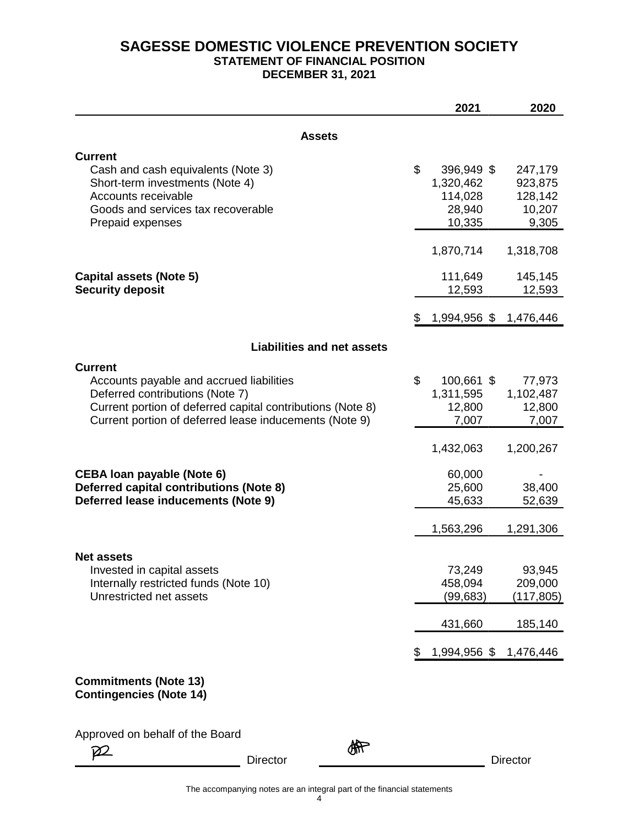## **SAGESSE DOMESTIC VIOLENCE PREVENTION SOCIETY STATEMENT OF FINANCIAL POSITION DECEMBER 31, 2021**

|                                                                                       | 2021               | 2020       |
|---------------------------------------------------------------------------------------|--------------------|------------|
| <b>Assets</b>                                                                         |                    |            |
| <b>Current</b>                                                                        |                    |            |
| Cash and cash equivalents (Note 3)                                                    | \$<br>396,949 \$   | 247,179    |
| Short-term investments (Note 4)                                                       | 1,320,462          | 923,875    |
| Accounts receivable                                                                   | 114,028            | 128,142    |
| Goods and services tax recoverable                                                    | 28,940             | 10,207     |
| Prepaid expenses                                                                      | 10,335             | 9,305      |
|                                                                                       | 1,870,714          | 1,318,708  |
|                                                                                       |                    |            |
| Capital assets (Note 5)                                                               | 111,649            | 145,145    |
| <b>Security deposit</b>                                                               | 12,593             | 12,593     |
|                                                                                       | \$<br>1,994,956 \$ | 1,476,446  |
|                                                                                       |                    |            |
| <b>Liabilities and net assets</b>                                                     |                    |            |
| <b>Current</b>                                                                        |                    |            |
| Accounts payable and accrued liabilities                                              | \$<br>100,661 \$   | 77,973     |
| Deferred contributions (Note 7)                                                       | 1,311,595          | 1,102,487  |
| Current portion of deferred capital contributions (Note 8)                            | 12,800             | 12,800     |
| Current portion of deferred lease inducements (Note 9)                                | 7,007              | 7,007      |
|                                                                                       | 1,432,063          | 1,200,267  |
|                                                                                       |                    |            |
| <b>CEBA loan payable (Note 6)</b>                                                     | 60,000             |            |
| <b>Deferred capital contributions (Note 8)</b><br>Deferred lease inducements (Note 9) | 25,600<br>45,633   | 38,400     |
|                                                                                       |                    | 52,639     |
|                                                                                       | 1,563,296          | 1,291,306  |
|                                                                                       |                    |            |
| <b>Net assets</b><br>Invested in capital assets                                       | 73,249             | 93,945     |
| Internally restricted funds (Note 10)                                                 | 458,094            | 209,000    |
| Unrestricted net assets                                                               | (99, 683)          | (117, 805) |
|                                                                                       |                    |            |
|                                                                                       | 431,660            | 185,140    |
|                                                                                       |                    |            |
|                                                                                       | \$<br>1,994,956 \$ | 1,476,446  |
|                                                                                       |                    |            |

### **Commitments (Note 13) Contingencies (Note 14)**

## Approved on behalf of the Board

 $\not\!\!D2$ 

Director Director **Director** 

**AR**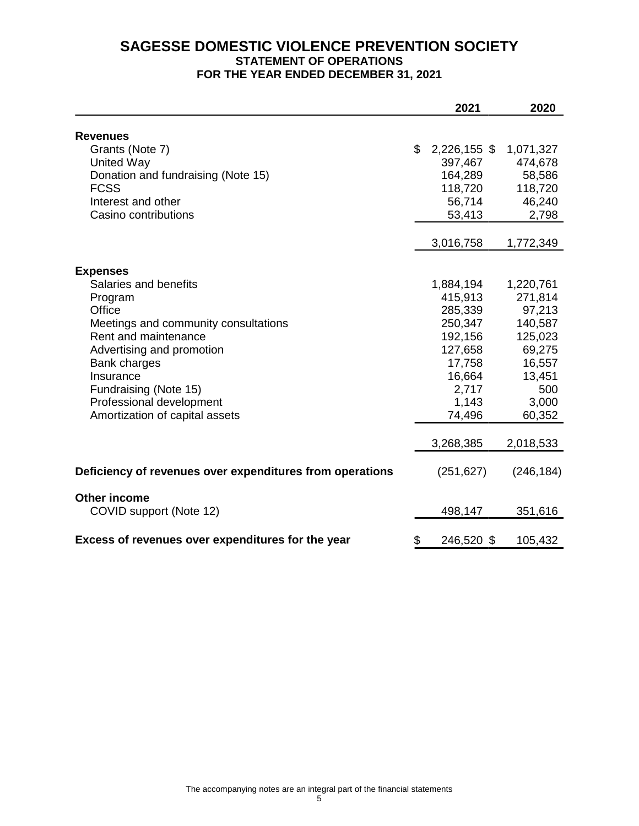## **SAGESSE DOMESTIC VIOLENCE PREVENTION SOCIETY STATEMENT OF OPERATIONS FOR THE YEAR ENDED DECEMBER 31, 2021**

|                                                          | 2021               | 2020       |
|----------------------------------------------------------|--------------------|------------|
|                                                          |                    |            |
| <b>Revenues</b>                                          |                    |            |
| Grants (Note 7)                                          | \$<br>2,226,155 \$ | 1,071,327  |
| <b>United Way</b>                                        | 397,467            | 474,678    |
| Donation and fundraising (Note 15)                       | 164,289            | 58,586     |
| <b>FCSS</b>                                              | 118,720            | 118,720    |
| Interest and other                                       | 56,714             | 46,240     |
| Casino contributions                                     | 53,413             | 2,798      |
|                                                          | 3,016,758          | 1,772,349  |
|                                                          |                    |            |
| <b>Expenses</b>                                          |                    |            |
| Salaries and benefits                                    | 1,884,194          | 1,220,761  |
| Program                                                  | 415,913            | 271,814    |
| Office                                                   | 285,339            | 97,213     |
| Meetings and community consultations                     | 250,347            | 140,587    |
| Rent and maintenance                                     | 192,156            | 125,023    |
| Advertising and promotion                                | 127,658            | 69,275     |
| Bank charges                                             | 17,758             | 16,557     |
| Insurance                                                | 16,664             | 13,451     |
| Fundraising (Note 15)                                    | 2,717              | 500        |
| Professional development                                 | 1,143              | 3,000      |
| Amortization of capital assets                           | 74,496             | 60,352     |
|                                                          | 3,268,385          | 2,018,533  |
|                                                          |                    |            |
| Deficiency of revenues over expenditures from operations | (251, 627)         | (246, 184) |
| <b>Other income</b>                                      |                    |            |
| COVID support (Note 12)                                  | 498,147            | 351,616    |
| Excess of revenues over expenditures for the year        | \$<br>246,520 \$   | 105,432    |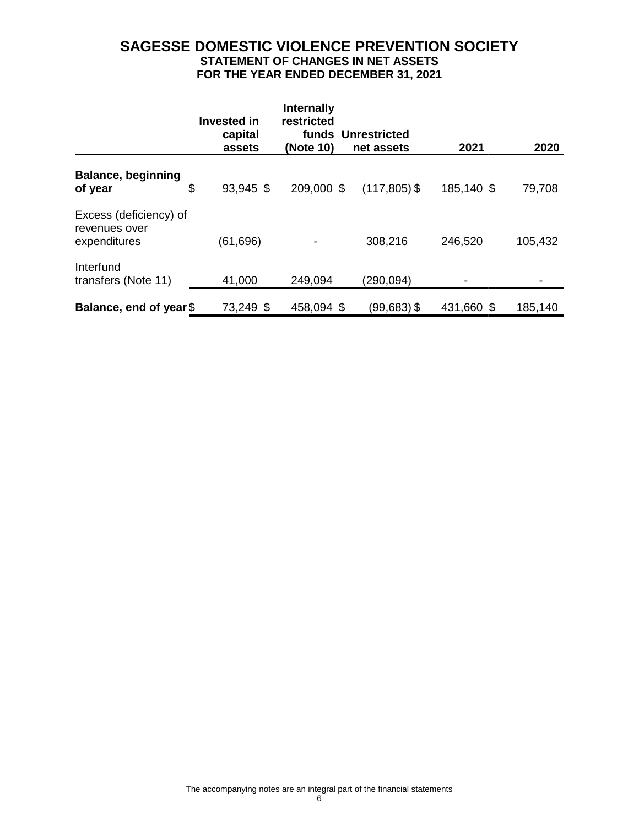## **SAGESSE DOMESTIC VIOLENCE PREVENTION SOCIETY STATEMENT OF CHANGES IN NET ASSETS FOR THE YEAR ENDED DECEMBER 31, 2021**

|                                                         | Invested in<br>capital<br>assets | <b>Internally</b><br>restricted<br>(Note 10) | funds Unrestricted<br>net assets | 2021       | 2020    |
|---------------------------------------------------------|----------------------------------|----------------------------------------------|----------------------------------|------------|---------|
| <b>Balance, beginning</b><br>of year                    | \$<br>93,945 \$                  | 209,000 \$                                   | $(117,805)$ \$                   | 185,140 \$ | 79,708  |
| Excess (deficiency) of<br>revenues over<br>expenditures | (61, 696)                        |                                              | 308,216                          | 246,520    | 105,432 |
| Interfund<br>transfers (Note 11)                        | 41,000                           | 249,094                                      | (290,094)                        |            |         |
| Balance, end of year \$                                 | 73,249 \$                        | 458,094 \$                                   | (99,683) \$                      | 431,660 \$ | 185,140 |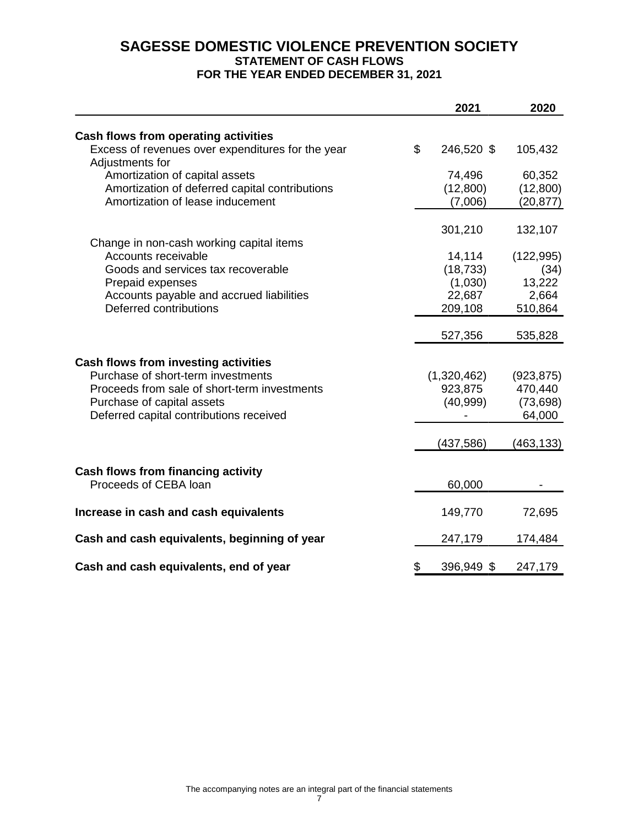## **SAGESSE DOMESTIC VIOLENCE PREVENTION SOCIETY STATEMENT OF CASH FLOWS FOR THE YEAR ENDED DECEMBER 31, 2021**

|                                                                      | 2021             | 2020       |
|----------------------------------------------------------------------|------------------|------------|
| Cash flows from operating activities                                 |                  |            |
| Excess of revenues over expenditures for the year<br>Adjustments for | \$<br>246,520 \$ | 105,432    |
| Amortization of capital assets                                       | 74,496           | 60,352     |
| Amortization of deferred capital contributions                       | (12,800)         | (12,800)   |
| Amortization of lease inducement                                     | (7,006)          | (20,877)   |
|                                                                      | 301,210          | 132,107    |
| Change in non-cash working capital items                             |                  |            |
| Accounts receivable                                                  | 14,114           | (122, 995) |
| Goods and services tax recoverable                                   | (18, 733)        | (34)       |
| Prepaid expenses                                                     | (1,030)          | 13,222     |
| Accounts payable and accrued liabilities                             | 22,687           | 2,664      |
| Deferred contributions                                               | 209,108          | 510,864    |
|                                                                      | 527,356          | 535,828    |
| Cash flows from investing activities                                 |                  |            |
| Purchase of short-term investments                                   | (1,320,462)      | (923, 875) |
| Proceeds from sale of short-term investments                         | 923,875          | 470,440    |
| Purchase of capital assets                                           | (40, 999)        | (73, 698)  |
| Deferred capital contributions received                              |                  | 64,000     |
|                                                                      |                  |            |
|                                                                      | (437, 586)       | (463, 133) |
| Cash flows from financing activity                                   |                  |            |
| Proceeds of CEBA loan                                                | 60,000           |            |
| Increase in cash and cash equivalents                                | 149,770          | 72,695     |
| Cash and cash equivalents, beginning of year                         | 247,179          | 174,484    |
| Cash and cash equivalents, end of year                               | \$<br>396,949 \$ | 247,179    |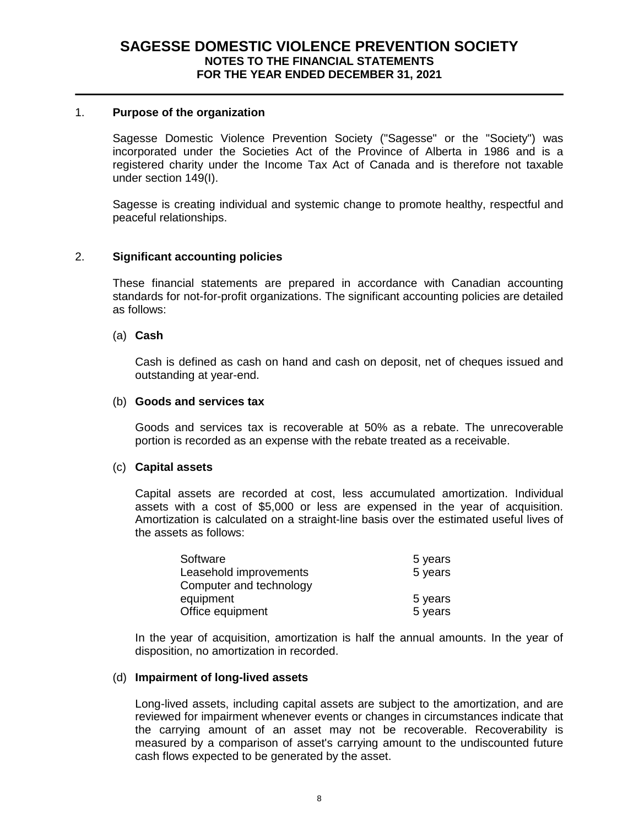#### 1. **Purpose of the organization**

Sagesse Domestic Violence Prevention Society ("Sagesse" or the "Society") was incorporated under the Societies Act of the Province of Alberta in 1986 and is a registered charity under the Income Tax Act of Canada and is therefore not taxable under section 149(I).

Sagesse is creating individual and systemic change to promote healthy, respectful and peaceful relationships.

## 2. **Significant accounting policies**

These financial statements are prepared in accordance with Canadian accounting standards for not-for-profit organizations. The significant accounting policies are detailed as follows:

#### (a) **Cash**

Cash is defined as cash on hand and cash on deposit, net of cheques issued and outstanding at year-end.

#### (b) **Goods and services tax**

Goods and services tax is recoverable at 50% as a rebate. The unrecoverable portion is recorded as an expense with the rebate treated as a receivable.

#### (c) **Capital assets**

Capital assets are recorded at cost, less accumulated amortization. Individual assets with a cost of \$5,000 or less are expensed in the year of acquisition. Amortization is calculated on a straight-line basis over the estimated useful lives of the assets as follows:

| Software                | 5 years |
|-------------------------|---------|
| Leasehold improvements  | 5 years |
| Computer and technology |         |
| equipment               | 5 years |
| Office equipment        | 5 years |

In the year of acquisition, amortization is half the annual amounts. In the year of disposition, no amortization in recorded.

#### (d) **Impairment of long-lived assets**

Long-lived assets, including capital assets are subject to the amortization, and are reviewed for impairment whenever events or changes in circumstances indicate that the carrying amount of an asset may not be recoverable. Recoverability is measured by a comparison of asset's carrying amount to the undiscounted future cash flows expected to be generated by the asset.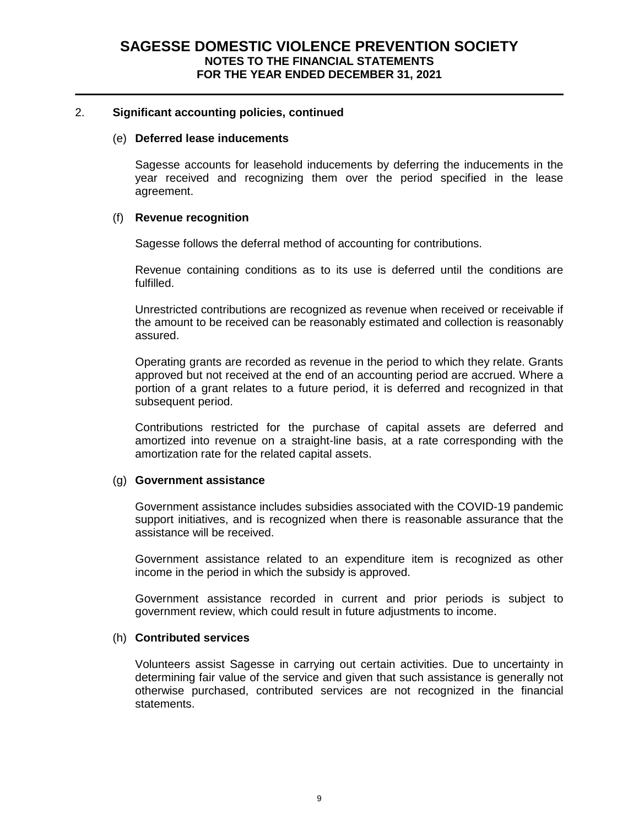#### 2. **Significant accounting policies, continued**

#### (e) **Deferred lease inducements**

Sagesse accounts for leasehold inducements by deferring the inducements in the year received and recognizing them over the period specified in the lease agreement.

### (f) **Revenue recognition**

Sagesse follows the deferral method of accounting for contributions.

Revenue containing conditions as to its use is deferred until the conditions are fulfilled.

Unrestricted contributions are recognized as revenue when received or receivable if the amount to be received can be reasonably estimated and collection is reasonably assured.

Operating grants are recorded as revenue in the period to which they relate. Grants approved but not received at the end of an accounting period are accrued. Where a portion of a grant relates to a future period, it is deferred and recognized in that subsequent period.

Contributions restricted for the purchase of capital assets are deferred and amortized into revenue on a straight-line basis, at a rate corresponding with the amortization rate for the related capital assets.

#### (g) **Government assistance**

Government assistance includes subsidies associated with the COVID-19 pandemic support initiatives, and is recognized when there is reasonable assurance that the assistance will be received.

Government assistance related to an expenditure item is recognized as other income in the period in which the subsidy is approved.

Government assistance recorded in current and prior periods is subject to government review, which could result in future adjustments to income.

#### (h) **Contributed services**

Volunteers assist Sagesse in carrying out certain activities. Due to uncertainty in determining fair value of the service and given that such assistance is generally not otherwise purchased, contributed services are not recognized in the financial statements.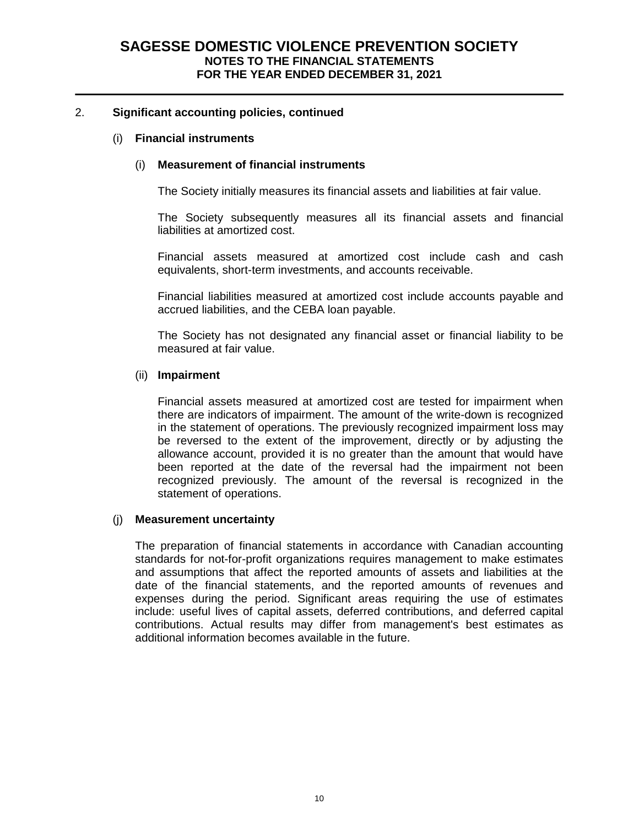### 2. **Significant accounting policies, continued**

#### (i) **Financial instruments**

#### (i) **Measurement of financial instruments**

The Society initially measures its financial assets and liabilities at fair value.

The Society subsequently measures all its financial assets and financial liabilities at amortized cost.

Financial assets measured at amortized cost include cash and cash equivalents, short-term investments, and accounts receivable.

Financial liabilities measured at amortized cost include accounts payable and accrued liabilities, and the CEBA loan payable.

The Society has not designated any financial asset or financial liability to be measured at fair value.

#### (ii) **Impairment**

Financial assets measured at amortized cost are tested for impairment when there are indicators of impairment. The amount of the write-down is recognized in the statement of operations. The previously recognized impairment loss may be reversed to the extent of the improvement, directly or by adjusting the allowance account, provided it is no greater than the amount that would have been reported at the date of the reversal had the impairment not been recognized previously. The amount of the reversal is recognized in the statement of operations.

#### (j) **Measurement uncertainty**

The preparation of financial statements in accordance with Canadian accounting standards for not-for-profit organizations requires management to make estimates and assumptions that affect the reported amounts of assets and liabilities at the date of the financial statements, and the reported amounts of revenues and expenses during the period. Significant areas requiring the use of estimates include: useful lives of capital assets, deferred contributions, and deferred capital contributions. Actual results may differ from management's best estimates as additional information becomes available in the future.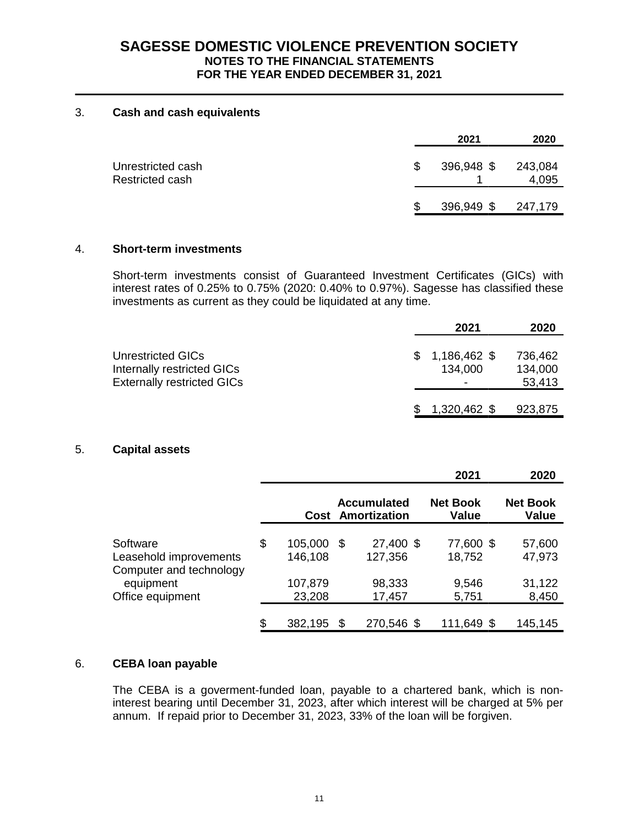## **SAGESSE DOMESTIC VIOLENCE PREVENTION SOCIETY NOTES TO THE FINANCIAL STATEMENTS FOR THE YEAR ENDED DECEMBER 31, 2021**

#### 3. **Cash and cash equivalents**

|                                      |     | 2021              | 2020    |
|--------------------------------------|-----|-------------------|---------|
| Unrestricted cash<br>Restricted cash | S   | 396,948 \$243,084 | 4,095   |
|                                      | \$. | 396,949 \$        | 247,179 |

#### 4. **Short-term investments**

Short-term investments consist of Guaranteed Investment Certificates (GICs) with interest rates of 0.25% to 0.75% (2020: 0.40% to 0.97%). Sagesse has classified these investments as current as they could be liquidated at any time.

|                                                                                             |     | 2021                            | 2020                         |
|---------------------------------------------------------------------------------------------|-----|---------------------------------|------------------------------|
| <b>Unrestricted GICs</b><br>Internally restricted GICs<br><b>Externally restricted GICs</b> | \$. | 1,186,462 \$<br>134,000<br>$\,$ | 736,462<br>134,000<br>53,413 |
|                                                                                             |     | 1,320,462 \$                    | 923,875                      |

#### 5. **Capital assets**

|                                                               |                          |                                                | 2021                            | 2020                            |
|---------------------------------------------------------------|--------------------------|------------------------------------------------|---------------------------------|---------------------------------|
|                                                               |                          | <b>Accumulated</b><br><b>Cost Amortization</b> | <b>Net Book</b><br><b>Value</b> | <b>Net Book</b><br><b>Value</b> |
| Software<br>Leasehold improvements<br>Computer and technology | \$<br>105,000<br>146,108 | \$<br>27,400 \$<br>127,356                     | 77,600 \$<br>18,752             | 57,600<br>47,973                |
| equipment<br>Office equipment                                 | 107,879<br>23,208        | 98,333<br>17,457                               | 9,546<br>5,751                  | 31,122<br>8,450                 |
|                                                               | \$<br>382,195            | \$<br>270,546 \$                               | 111,649 \$                      | 145,145                         |

#### 6. **CEBA loan payable**

The CEBA is a goverment-funded loan, payable to a chartered bank, which is noninterest bearing until December 31, 2023, after which interest will be charged at 5% per annum. If repaid prior to December 31, 2023, 33% of the loan will be forgiven.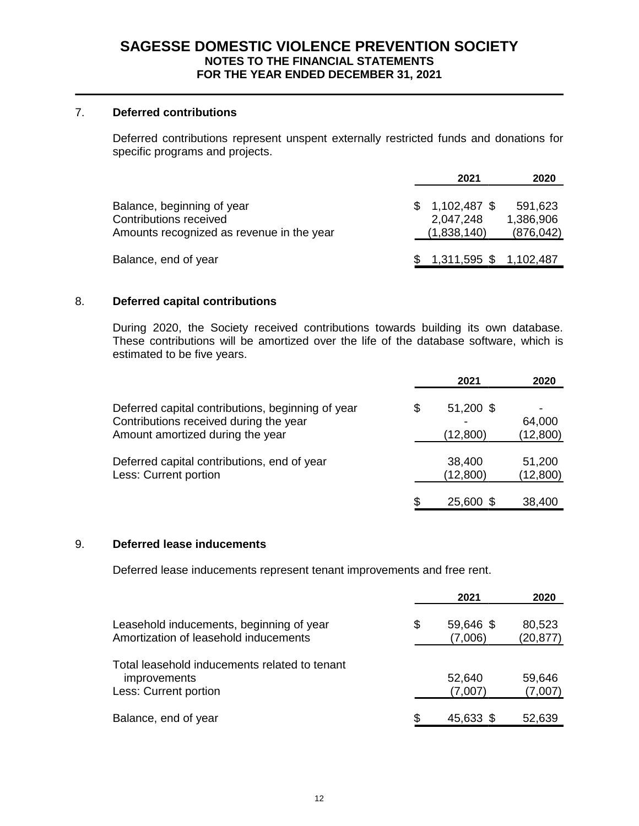### 7. **Deferred contributions**

Deferred contributions represent unspent externally restricted funds and donations for specific programs and projects.

|                                                                                                   | 2021                                     | 2020                               |
|---------------------------------------------------------------------------------------------------|------------------------------------------|------------------------------------|
| Balance, beginning of year<br>Contributions received<br>Amounts recognized as revenue in the year | 1,102,487 \$<br>2,047,248<br>(1,838,140) | 591,623<br>1,386,906<br>(876, 042) |
| Balance, end of year                                                                              | $$1,311,595$ \$ 1,102,487                |                                    |

### 8. **Deferred capital contributions**

During 2020, the Society received contributions towards building its own database. These contributions will be amortized over the life of the database software, which is estimated to be five years.

|                                                   |    | 2021      | 2020      |
|---------------------------------------------------|----|-----------|-----------|
| Deferred capital contributions, beginning of year | \$ | 51,200 \$ |           |
| Contributions received during the year            |    |           | 64,000    |
| Amount amortized during the year                  |    | (12,800)  | (12, 800) |
|                                                   |    |           |           |
| Deferred capital contributions, end of year       |    | 38,400    | 51,200    |
| Less: Current portion                             |    | (12, 800) | (12, 800) |
|                                                   |    |           |           |
|                                                   | S  | 25,600 \$ | 38,400    |

### 9. **Deferred lease inducements**

Deferred lease inducements represent tenant improvements and free rent.

|                                                                                        | 2021                       | 2020                |
|----------------------------------------------------------------------------------------|----------------------------|---------------------|
| Leasehold inducements, beginning of year<br>Amortization of leasehold inducements      | \$<br>59,646 \$<br>(7,006) | 80,523<br>(20, 877) |
| Total leasehold inducements related to tenant<br>improvements<br>Less: Current portion | 52,640<br>(7,007)          | 59,646<br>(7,007)   |
| Balance, end of year                                                                   | \$<br>45,633 \$            | 52,639              |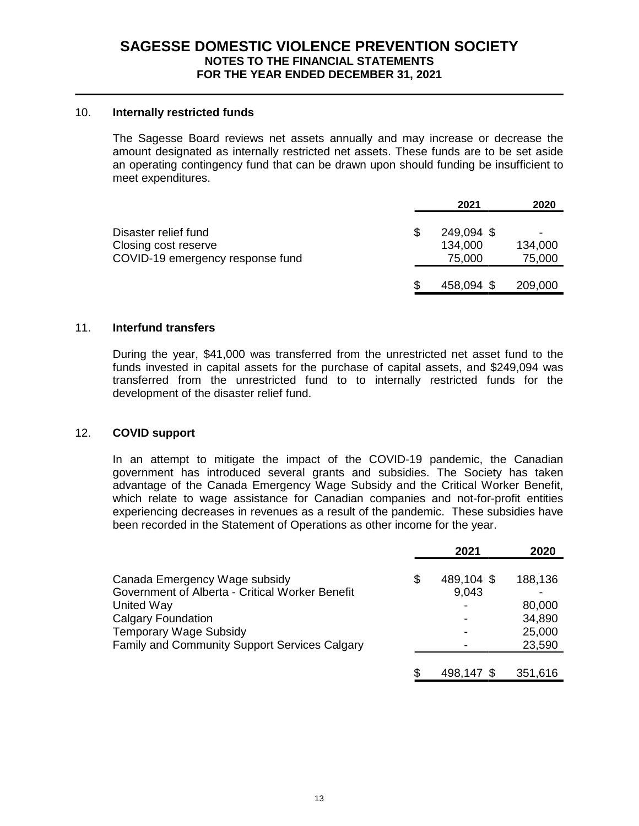#### 10. **Internally restricted funds**

The Sagesse Board reviews net assets annually and may increase or decrease the amount designated as internally restricted net assets. These funds are to be set aside an operating contingency fund that can be drawn upon should funding be insufficient to meet expenditures.

|                                                                                  |    | 2021                            | 2020              |
|----------------------------------------------------------------------------------|----|---------------------------------|-------------------|
| Disaster relief fund<br>Closing cost reserve<br>COVID-19 emergency response fund | S  | 249,094 \$<br>134,000<br>75,000 | 134,000<br>75,000 |
|                                                                                  | S. | 458,094 \$                      | 209,000           |

#### 11. **Interfund transfers**

During the year, \$41,000 was transferred from the unrestricted net asset fund to the funds invested in capital assets for the purchase of capital assets, and \$249,094 was transferred from the unrestricted fund to to internally restricted funds for the development of the disaster relief fund.

#### 12. **COVID support**

In an attempt to mitigate the impact of the COVID-19 pandemic, the Canadian government has introduced several grants and subsidies. The Society has taken advantage of the Canada Emergency Wage Subsidy and the Critical Worker Benefit, which relate to wage assistance for Canadian companies and not-for-profit entities experiencing decreases in revenues as a result of the pandemic. These subsidies have been recorded in the Statement of Operations as other income for the year.

|                                                                                  | 2021                      | 2020    |
|----------------------------------------------------------------------------------|---------------------------|---------|
|                                                                                  |                           |         |
| Canada Emergency Wage subsidy<br>Government of Alberta - Critical Worker Benefit | \$<br>489,104 \$<br>9,043 | 188,136 |
| <b>United Way</b>                                                                | $\overline{\phantom{0}}$  | 80,000  |
| <b>Calgary Foundation</b>                                                        | $\overline{\phantom{0}}$  | 34,890  |
| <b>Temporary Wage Subsidy</b>                                                    |                           | 25,000  |
| Family and Community Support Services Calgary                                    |                           | 23,590  |
|                                                                                  |                           |         |
|                                                                                  | \$<br>498,147 \$          | 351,616 |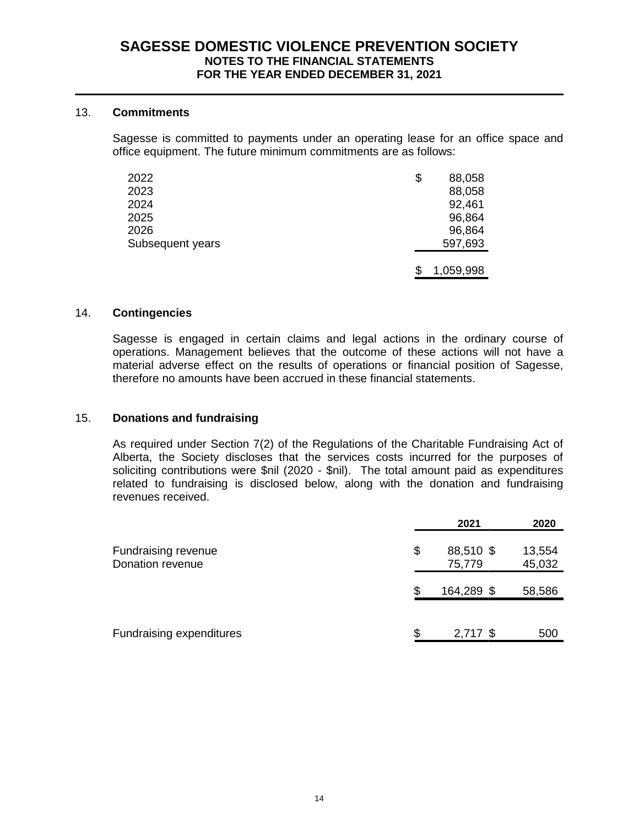#### 13. **Commitments**

Sagesse is committed to payments under an operating lease for an office space and office equipment. The future minimum commitments are as follows:

| 2022             | \$<br>88,058    |
|------------------|-----------------|
| 2023             | 88,058          |
| 2024             | 92,461          |
| 2025             | 96,864          |
| 2026             | 96,864          |
| Subsequent years | 597,693         |
|                  |                 |
|                  | \$<br>1,059,998 |

#### 14. **Contingencies**

Sagesse is engaged in certain claims and legal actions in the ordinary course of operations. Management believes that the outcome of these actions will not have a material adverse effect on the results of operations or financial position of Sagesse, therefore no amounts have been accrued in these financial statements.

#### 15. **Donations and fundraising**

As required under Section 7(2) of the Regulations of the Charitable Fundraising Act of Alberta, the Society discloses that the services costs incurred for the purposes of soliciting contributions were \$nil (2020 - \$nil). The total amount paid as expenditures related to fundraising is disclosed below, along with the donation and fundraising revenues received.

|                                         |    | 2021                | 2020             |
|-----------------------------------------|----|---------------------|------------------|
| Fundraising revenue<br>Donation revenue | \$ | 88,510 \$<br>75,779 | 13,554<br>45,032 |
|                                         | \$ | 164,289 \$          | 58,586           |
| Fundraising expenditures                | S  | $2,717$ \$          | 500              |
|                                         |    |                     |                  |